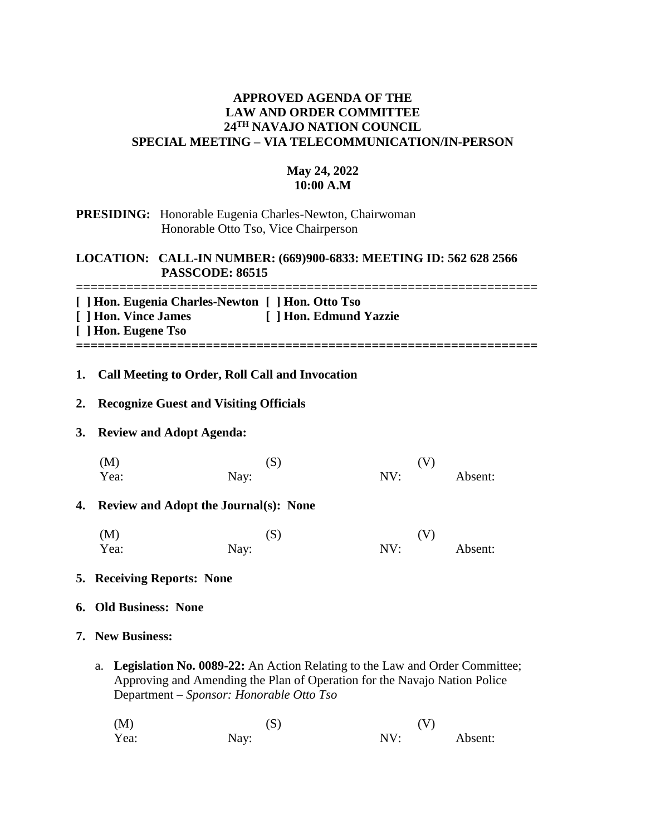# **APPROVED AGENDA OF THE LAW AND ORDER COMMITTEE 24TH NAVAJO NATION COUNCIL SPECIAL MEETING – VIA TELECOMMUNICATION/IN-PERSON**

# **May 24, 2022 10:00 A.M**

## **PRESIDING:** Honorable Eugenia Charles-Newton, Chairwoman Honorable Otto Tso, Vice Chairperson

# **LOCATION: CALL-IN NUMBER: (669)900-6833: MEETING ID: 562 628 2566 PASSCODE: 86515**

**================================================================ [ ] Hon. Eugenia Charles-Newton [ ] Hon. Otto Tso [ ] Hon. Vince James [ ] Hon. Edmund Yazzie [ ] Hon. Eugene Tso**

**================================================================**

# **1. Call Meeting to Order, Roll Call and Invocation**

## **2. Recognize Guest and Visiting Officials**

#### **3. Review and Adopt Agenda:**

| (M)  | (S)  | (V) |         |
|------|------|-----|---------|
| Yea: | Nay: | NV: | Absent: |

## **4. Review and Adopt the Journal(s): None**

| (M)  | (S)  | (V) |         |
|------|------|-----|---------|
| Yea: | Nay: | NV: | Absent: |

#### **5. Receiving Reports: None**

#### **6. Old Business: None**

## **7. New Business:**

a. **Legislation No. 0089-22:** An Action Relating to the Law and Order Committee; Approving and Amending the Plan of Operation for the Navajo Nation Police Department – *Sponsor: Honorable Otto Tso*

(M)  $(S)$  (V) Yea: Nay: Nay: NV: Absent: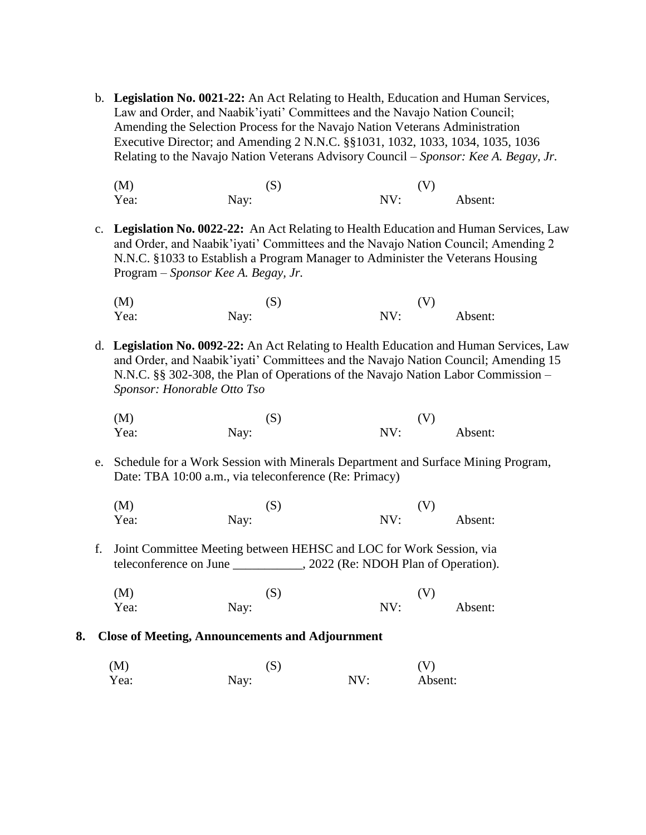- b. **Legislation No. 0021-22:** An Act Relating to Health, Education and Human Services, Law and Order, and Naabik'iyati' Committees and the Navajo Nation Council; Amending the Selection Process for the Navajo Nation Veterans Administration Executive Director; and Amending 2 N.N.C. §§1031, 1032, 1033, 1034, 1035, 1036 Relating to the Navajo Nation Veterans Advisory Council – *Sponsor: Kee A. Begay, Jr.*
	- (M)  $(S)$  (V) Yea: Nay: Nay: NV: Absent:
- c. **Legislation No. 0022-22:** An Act Relating to Health Education and Human Services, Law and Order, and Naabik'iyati' Committees and the Navajo Nation Council; Amending 2 N.N.C. §1033 to Establish a Program Manager to Administer the Veterans Housing Program – *Sponsor Kee A. Begay, Jr.*

| (M)  | (S)  |     | (V)     |
|------|------|-----|---------|
| Yea: | Nay: | NV: | Absent: |

- d. **Legislation No. 0092-22:** An Act Relating to Health Education and Human Services, Law and Order, and Naabik'iyati' Committees and the Navajo Nation Council; Amending 15 N.N.C. §§ 302-308, the Plan of Operations of the Navajo Nation Labor Commission –  *Sponsor: Honorable Otto Tso*
	- (M)  $(S)$  (V) Yea: Nay: Nay: NV: Absent:
- e. Schedule for a Work Session with Minerals Department and Surface Mining Program, Date: TBA 10:00 a.m., via teleconference (Re: Primacy)

| (M)  | (S)  | (V) |         |
|------|------|-----|---------|
| Yea: | Nay: | NV: | Absent: |

- f. Joint Committee Meeting between HEHSC and LOC for Work Session, via teleconference on June \_\_\_\_\_\_\_\_\_\_\_, 2022 (Re: NDOH Plan of Operation).
	- (M)  $(S)$  (V) Yea: Nay: Nay: NV: Absent:

## **8. Close of Meeting, Announcements and Adjournment**

 $(M)$  (S)  $(V)$ Yea: Nay: Nay: NV: Absent: